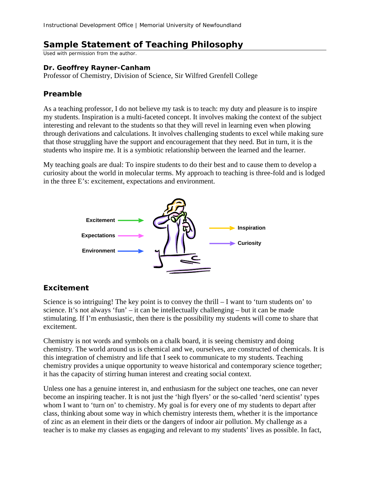# **Sample Statement of Teaching Philosophy**

Used with permission from the author.

#### **Dr. Geoffrey Rayner-Canham**

Professor of Chemistry, Division of Science, Sir Wilfred Grenfell College

# **Preamble**

As a teaching professor, I do not believe my task is to teach: my duty and pleasure is to inspire my students. Inspiration is a multi-faceted concept. It involves making the context of the subject interesting and relevant to the students so that they will revel in learning even when plowing through derivations and calculations. It involves challenging students to excel while making sure that those struggling have the support and encouragement that they need. But in turn, it is the students who inspire me. It is a symbiotic relationship between the learned and the learner.

My teaching goals are dual: To inspire students to do their best and to cause them to develop a curiosity about the world in molecular terms. My approach to teaching is three-fold and is lodged in the three E's: excitement, expectations and environment.



# **Excitement**

Science is so intriguing! The key point is to convey the thrill – I want to 'turn students on' to science. It's not always 'fun' – it can be intellectually challenging – but it can be made stimulating. If I'm enthusiastic, then there is the possibility my students will come to share that excitement.

Chemistry is not words and symbols on a chalk board, it is seeing chemistry and doing chemistry. The world around us is chemical and we, ourselves, are constructed of chemicals. It is this integration of chemistry and life that I seek to communicate to my students. Teaching chemistry provides a unique opportunity to weave historical and contemporary science together; it has the capacity of stirring human interest and creating social context.

Unless one has a genuine interest in, and enthusiasm for the subject one teaches, one can never become an inspiring teacher. It is not just the 'high flyers' or the so-called 'nerd scientist' types whom I want to 'turn on' to chemistry. My goal is for every one of my students to depart after class, thinking about some way in which chemistry interests them, whether it is the importance of zinc as an element in their diets or the dangers of indoor air pollution. My challenge as a teacher is to make my classes as engaging and relevant to my students' lives as possible. In fact,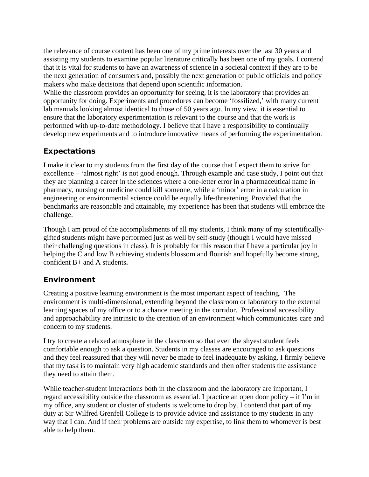the relevance of course content has been one of my prime interests over the last 30 years and assisting my students to examine popular literature critically has been one of my goals. I contend that it is vital for students to have an awareness of science in a societal context if they are to be the next generation of consumers and, possibly the next generation of public officials and policy makers who make decisions that depend upon scientific information.

While the classroom provides an opportunity for seeing, it is the laboratory that provides an opportunity for doing. Experiments and procedures can become 'fossilized,' with many current lab manuals looking almost identical to those of 50 years ago. In my view, it is essential to ensure that the laboratory experimentation is relevant to the course and that the work is performed with up-to-date methodology. I believe that I have a responsibility to continually develop new experiments and to introduce innovative means of performing the experimentation.

# **Expectations**

I make it clear to my students from the first day of the course that I expect them to strive for excellence – 'almost right' is not good enough. Through example and case study, I point out that they are planning a career in the sciences where a one-letter error in a pharmaceutical name in pharmacy, nursing or medicine could kill someone, while a 'minor' error in a calculation in engineering or environmental science could be equally life-threatening. Provided that the benchmarks are reasonable and attainable, my experience has been that students will embrace the challenge.

Though I am proud of the accomplishments of all my students, I think many of my scientificallygifted students might have performed just as well by self-study (though I would have missed their challenging questions in class). It is probably for this reason that I have a particular joy in helping the C and low B achieving students blossom and flourish and hopefully become strong, confident B+ and A students**.** 

#### **Environment**

Creating a positive learning environment is the most important aspect of teaching. The environment is multi-dimensional, extending beyond the classroom or laboratory to the external learning spaces of my office or to a chance meeting in the corridor. Professional accessibility and approachability are intrinsic to the creation of an environment which communicates care and concern to my students.

I try to create a relaxed atmosphere in the classroom so that even the shyest student feels comfortable enough to ask a question. Students in my classes are encouraged to ask questions and they feel reassured that they will never be made to feel inadequate by asking. I firmly believe that my task is to maintain very high academic standards and then offer students the assistance they need to attain them.

While teacher-student interactions both in the classroom and the laboratory are important, I regard accessibility outside the classroom as essential. I practice an open door policy – if I'm in my office, any student or cluster of students is welcome to drop by. I contend that part of my duty at Sir Wilfred Grenfell College is to provide advice and assistance to my students in any way that I can. And if their problems are outside my expertise, to link them to whomever is best able to help them.